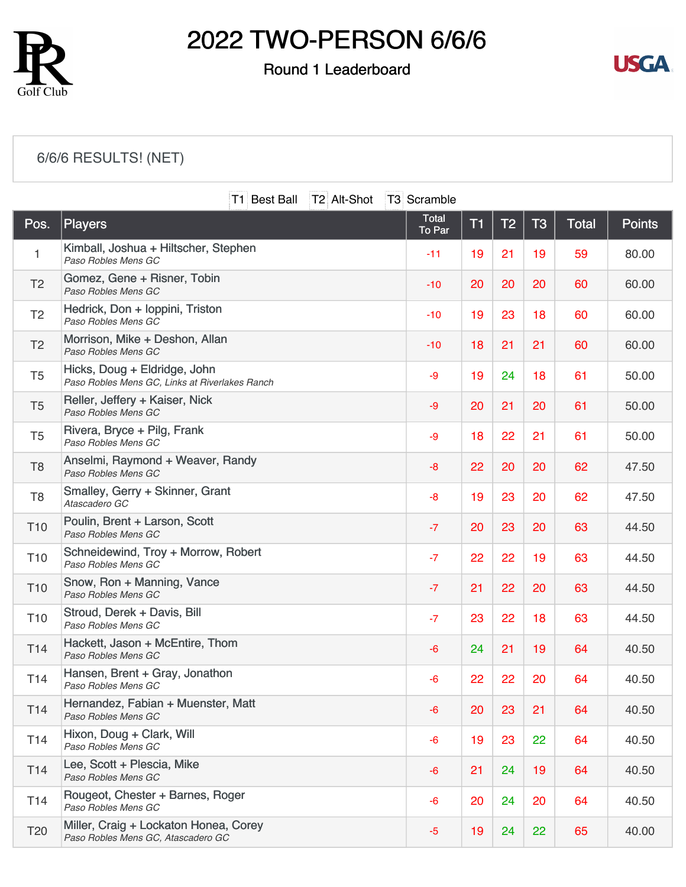

### Round 1 Leaderboard



### [6/6/6 RESULTS! \(NET\)](https://static.golfgenius.com/v2tournaments/8474324572982787986?called_from=&round_index=1)

|                 |                                                                                | T1 Best Ball | T2 Alt-Shot | T3 Scramble            |    |                |                |              |               |
|-----------------|--------------------------------------------------------------------------------|--------------|-------------|------------------------|----|----------------|----------------|--------------|---------------|
| Pos.            | Players                                                                        |              |             | <b>Total</b><br>To Par | T1 | T <sub>2</sub> | T <sub>3</sub> | <b>Total</b> | <b>Points</b> |
| 1               | Kimball, Joshua + Hiltscher, Stephen<br>Paso Robles Mens GC                    |              |             | $-11$                  | 19 | 21             | 19             | 59           | 80.00         |
| T <sub>2</sub>  | Gomez, Gene + Risner, Tobin<br>Paso Robles Mens GC                             |              |             | $-10$                  | 20 | 20             | 20             | 60           | 60.00         |
| T <sub>2</sub>  | Hedrick, Don + loppini, Triston<br>Paso Robles Mens GC                         |              |             | $-10$                  | 19 | 23             | 18             | 60           | 60.00         |
| T <sub>2</sub>  | Morrison, Mike + Deshon, Allan<br>Paso Robles Mens GC                          |              |             | $-10$                  | 18 | 21             | 21             | 60           | 60.00         |
| T <sub>5</sub>  | Hicks, Doug + Eldridge, John<br>Paso Robles Mens GC, Links at Riverlakes Ranch |              |             | -9                     | 19 | 24             | 18             | 61           | 50.00         |
| T <sub>5</sub>  | Reller, Jeffery + Kaiser, Nick<br>Paso Robles Mens GC                          |              |             | $-9$                   | 20 | 21             | 20             | 61           | 50.00         |
| T <sub>5</sub>  | Rivera, Bryce + Pilg, Frank<br>Paso Robles Mens GC                             |              |             | -9                     | 18 | 22             | 21             | 61           | 50.00         |
| T <sub>8</sub>  | Anselmi, Raymond + Weaver, Randy<br>Paso Robles Mens GC                        |              |             | $-8$                   | 22 | 20             | 20             | 62           | 47.50         |
| T <sub>8</sub>  | Smalley, Gerry + Skinner, Grant<br>Atascadero GC                               |              |             | $-8$                   | 19 | 23             | 20             | 62           | 47.50         |
| T <sub>10</sub> | Poulin, Brent + Larson, Scott<br>Paso Robles Mens GC                           |              |             | $-7$                   | 20 | 23             | 20             | 63           | 44.50         |
| T <sub>10</sub> | Schneidewind, Troy + Morrow, Robert<br>Paso Robles Mens GC                     |              |             | $-7$                   | 22 | 22             | 19             | 63           | 44.50         |
| T <sub>10</sub> | Snow, Ron + Manning, Vance<br>Paso Robles Mens GC                              |              |             | $-7$                   | 21 | 22             | 20             | 63           | 44.50         |
| T <sub>10</sub> | Stroud, Derek + Davis, Bill<br>Paso Robles Mens GC                             |              |             | $-7$                   | 23 | 22             | 18             | 63           | 44.50         |
| T <sub>14</sub> | Hackett, Jason + McEntire, Thom<br>Paso Robles Mens GC                         |              |             | $-6$                   | 24 | 21             | 19             | 64           | 40.50         |
| T14             | Hansen, Brent + Gray, Jonathon<br>Paso Robles Mens GC                          |              |             | $-6$                   | 22 | 22             | 20             | 64           | 40.50         |
| T <sub>14</sub> | Hernandez, Fabian + Muenster, Matt<br>Paso Robles Mens GC                      |              |             | -6                     | 20 | 23             | 21             | 64           | 40.50         |
| T <sub>14</sub> | Hixon, Doug + Clark, Will<br>Paso Robles Mens GC                               |              |             | $-6$                   | 19 | 23             | 22             | 64           | 40.50         |
| T <sub>14</sub> | Lee, Scott + Plescia, Mike<br>Paso Robles Mens GC                              |              |             | -6                     | 21 | 24             | 19             | 64           | 40.50         |
| T <sub>14</sub> | Rougeot, Chester + Barnes, Roger<br>Paso Robles Mens GC                        |              |             | $-6$                   | 20 | 24             | 20             | 64           | 40.50         |
| <b>T20</b>      | Miller, Craig + Lockaton Honea, Corey<br>Paso Robles Mens GC, Atascadero GC    |              |             | $-5$                   | 19 | 24             | 22             | 65           | 40.00         |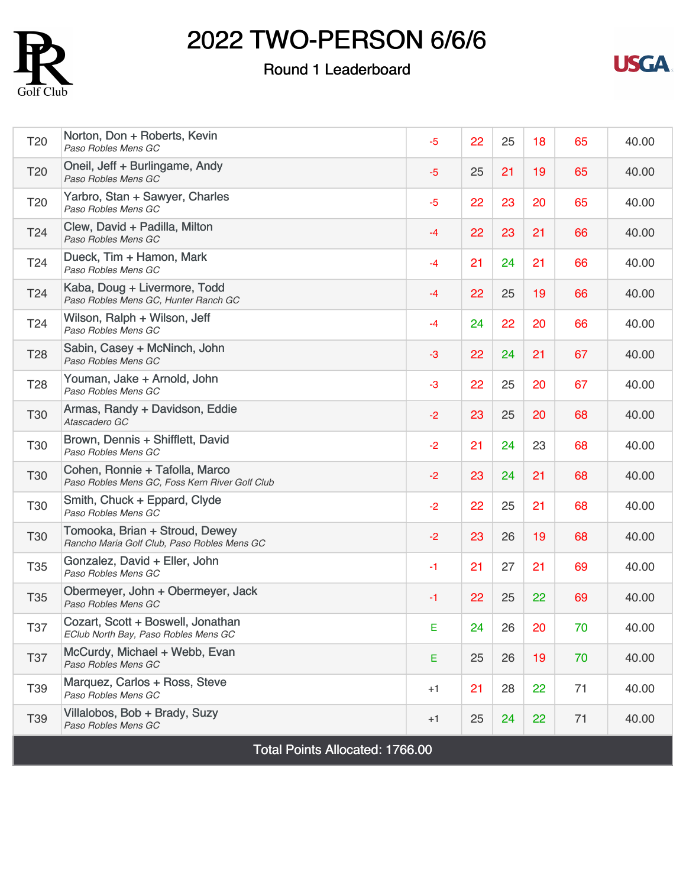

### Round 1 Leaderboard



| T <sub>20</sub>                        | Norton, Don + Roberts, Kevin<br>Paso Robles Mens GC                              | $-5$ | 22 | 25 | 18 | 65 | 40.00 |
|----------------------------------------|----------------------------------------------------------------------------------|------|----|----|----|----|-------|
| T <sub>20</sub>                        | Oneil, Jeff + Burlingame, Andy<br>Paso Robles Mens GC                            | $-5$ | 25 | 21 | 19 | 65 | 40.00 |
| T <sub>20</sub>                        | Yarbro, Stan + Sawyer, Charles<br>Paso Robles Mens GC                            | $-5$ | 22 | 23 | 20 | 65 | 40.00 |
| T <sub>24</sub>                        | Clew, David + Padilla, Milton<br>Paso Robles Mens GC                             | $-4$ | 22 | 23 | 21 | 66 | 40.00 |
| T <sub>24</sub>                        | Dueck, Tim + Hamon, Mark<br>Paso Robles Mens GC                                  | $-4$ | 21 | 24 | 21 | 66 | 40.00 |
| T <sub>24</sub>                        | Kaba, Doug + Livermore, Todd<br>Paso Robles Mens GC, Hunter Ranch GC             | $-4$ | 22 | 25 | 19 | 66 | 40.00 |
| T <sub>24</sub>                        | Wilson, Ralph + Wilson, Jeff<br>Paso Robles Mens GC                              | $-4$ | 24 | 22 | 20 | 66 | 40.00 |
| <b>T28</b>                             | Sabin, Casey + McNinch, John<br>Paso Robles Mens GC                              | $-3$ | 22 | 24 | 21 | 67 | 40.00 |
| T <sub>28</sub>                        | Youman, Jake + Arnold, John<br>Paso Robles Mens GC                               | $-3$ | 22 | 25 | 20 | 67 | 40.00 |
| <b>T30</b>                             | Armas, Randy + Davidson, Eddie<br>Atascadero GC                                  | $-2$ | 23 | 25 | 20 | 68 | 40.00 |
| T30                                    | Brown, Dennis + Shifflett, David<br>Paso Robles Mens GC                          | $-2$ | 21 | 24 | 23 | 68 | 40.00 |
| <b>T30</b>                             | Cohen, Ronnie + Tafolla, Marco<br>Paso Robles Mens GC, Foss Kern River Golf Club | $-2$ | 23 | 24 | 21 | 68 | 40.00 |
| <b>T30</b>                             | Smith, Chuck + Eppard, Clyde<br>Paso Robles Mens GC                              | $-2$ | 22 | 25 | 21 | 68 | 40.00 |
| <b>T30</b>                             | Tomooka, Brian + Stroud, Dewey<br>Rancho Maria Golf Club, Paso Robles Mens GC    | $-2$ | 23 | 26 | 19 | 68 | 40.00 |
| <b>T35</b>                             | Gonzalez, David + Eller, John<br>Paso Robles Mens GC                             | $-1$ | 21 | 27 | 21 | 69 | 40.00 |
| <b>T35</b>                             | Obermeyer, John + Obermeyer, Jack<br>Paso Robles Mens GC                         | $-1$ | 22 | 25 | 22 | 69 | 40.00 |
| <b>T37</b>                             | Cozart, Scott + Boswell, Jonathan<br>EClub North Bay, Paso Robles Mens GC        | Е    | 24 | 26 | 20 | 70 | 40.00 |
| <b>T37</b>                             | McCurdy, Michael + Webb, Evan<br>Paso Robles Mens GC                             | E.   | 25 | 26 | 19 | 70 | 40.00 |
| T39                                    | Marquez, Carlos + Ross, Steve<br>Paso Robles Mens GC                             | $+1$ | 21 | 28 | 22 | 71 | 40.00 |
| T39                                    | Villalobos, Bob + Brady, Suzy<br>Paso Robles Mens GC                             | $+1$ | 25 | 24 | 22 | 71 | 40.00 |
| <b>Total Points Allocated: 1766.00</b> |                                                                                  |      |    |    |    |    |       |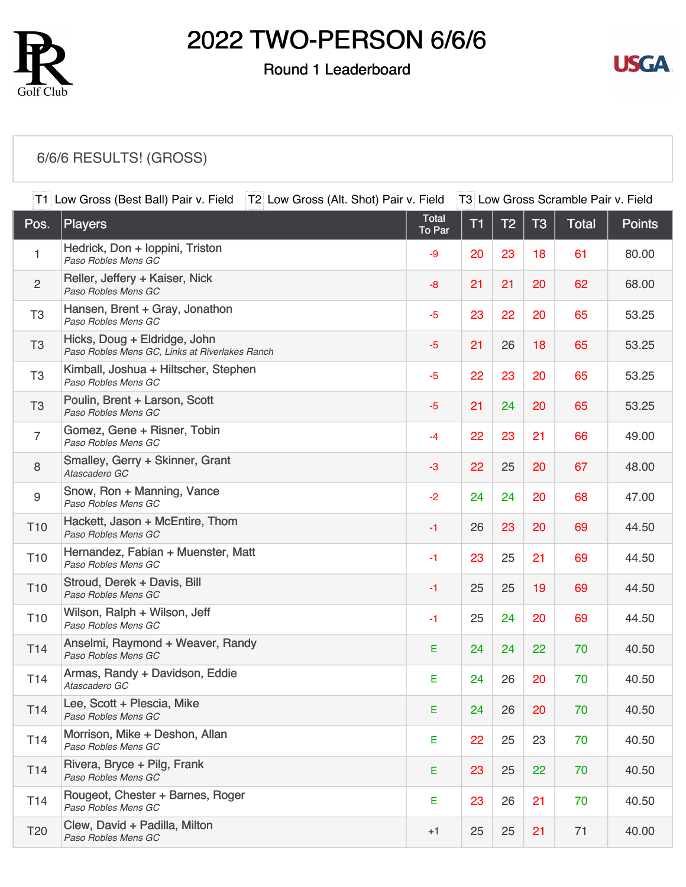

#### Round 1 Leaderboard



### [6/6/6 RESULTS! \(GROSS\)](https://static.golfgenius.com/v2tournaments/8474354911457361814?called_from=&round_index=1)

|                  | T1 Low Gross (Best Ball) Pair v. Field<br>T2 Low Gross (Alt. Shot) Pair v. Field<br>T3 Low Gross Scramble Pair v. Field |                        |    |                |           |       |               |
|------------------|-------------------------------------------------------------------------------------------------------------------------|------------------------|----|----------------|-----------|-------|---------------|
| Pos.             | <b>Players</b>                                                                                                          | <b>Total</b><br>To Par | T1 | T <sub>2</sub> | <b>T3</b> | Total | <b>Points</b> |
| $\mathbf{1}$     | Hedrick, Don + Ioppini, Triston<br>Paso Robles Mens GC                                                                  | -9                     | 20 | 23             | 18        | 61    | 80.00         |
| $\overline{c}$   | Reller, Jeffery + Kaiser, Nick<br>Paso Robles Mens GC                                                                   | $-8$                   | 21 | 21             | 20        | 62    | 68.00         |
| T <sub>3</sub>   | Hansen, Brent + Gray, Jonathon<br>Paso Robles Mens GC                                                                   | $-5$                   | 23 | 22             | 20        | 65    | 53.25         |
| T <sub>3</sub>   | Hicks, Doug + Eldridge, John<br>Paso Robles Mens GC, Links at Riverlakes Ranch                                          | $-5$                   | 21 | 26             | 18        | 65    | 53.25         |
| T <sub>3</sub>   | Kimball, Joshua + Hiltscher, Stephen<br>Paso Robles Mens GC                                                             | $-5$                   | 22 | 23             | 20        | 65    | 53.25         |
| T <sub>3</sub>   | Poulin, Brent + Larson, Scott<br>Paso Robles Mens GC                                                                    | $-5$                   | 21 | 24             | 20        | 65    | 53.25         |
| $\overline{7}$   | Gomez, Gene + Risner, Tobin<br>Paso Robles Mens GC                                                                      | $-4$                   | 22 | 23             | 21        | 66    | 49.00         |
| 8                | Smalley, Gerry + Skinner, Grant<br>Atascadero GC                                                                        | $-3$                   | 22 | 25             | 20        | 67    | 48.00         |
| $\boldsymbol{9}$ | Snow, Ron + Manning, Vance<br>Paso Robles Mens GC                                                                       | $-2$                   | 24 | 24             | 20        | 68    | 47.00         |
| T <sub>10</sub>  | Hackett, Jason + McEntire, Thom<br>Paso Robles Mens GC                                                                  | $-1$                   | 26 | 23             | 20        | 69    | 44.50         |
| T <sub>10</sub>  | Hernandez, Fabian + Muenster, Matt<br>Paso Robles Mens GC                                                               | $-1$                   | 23 | 25             | 21        | 69    | 44.50         |
| T <sub>10</sub>  | Stroud, Derek + Davis, Bill<br>Paso Robles Mens GC                                                                      | $-1$                   | 25 | 25             | 19        | 69    | 44.50         |
| T <sub>10</sub>  | Wilson, Ralph + Wilson, Jeff<br>Paso Robles Mens GC                                                                     | $-1$                   | 25 | 24             | 20        | 69    | 44.50         |
| T14              | Anselmi, Raymond + Weaver, Randy<br>Paso Robles Mens GC                                                                 | E                      | 24 | 24             | 22        | 70    | 40.50         |
| T14              | Armas, Randy + Davidson, Eddie<br>Atascadero GC                                                                         | E                      | 24 | 26             | 20        | 70    | 40.50         |
| T14              | Lee, Scott + Plescia, Mike<br>Paso Robles Mens GC                                                                       | E                      | 24 | 26             | 20        | 70    | 40.50         |
| T14              | Morrison, Mike + Deshon, Allan<br>Paso Robles Mens GC                                                                   | Е                      | 22 | 25             | 23        | 70    | 40.50         |
| T14              | Rivera, Bryce + Pilg, Frank<br>Paso Robles Mens GC                                                                      | Е                      | 23 | 25             | 22        | 70    | 40.50         |
| T <sub>14</sub>  | Rougeot, Chester + Barnes, Roger<br>Paso Robles Mens GC                                                                 | E                      | 23 | 26             | 21        | 70    | 40.50         |
| T <sub>20</sub>  | Clew, David + Padilla, Milton<br>Paso Robles Mens GC                                                                    | $+1$                   | 25 | 25             | 21        | 71    | 40.00         |